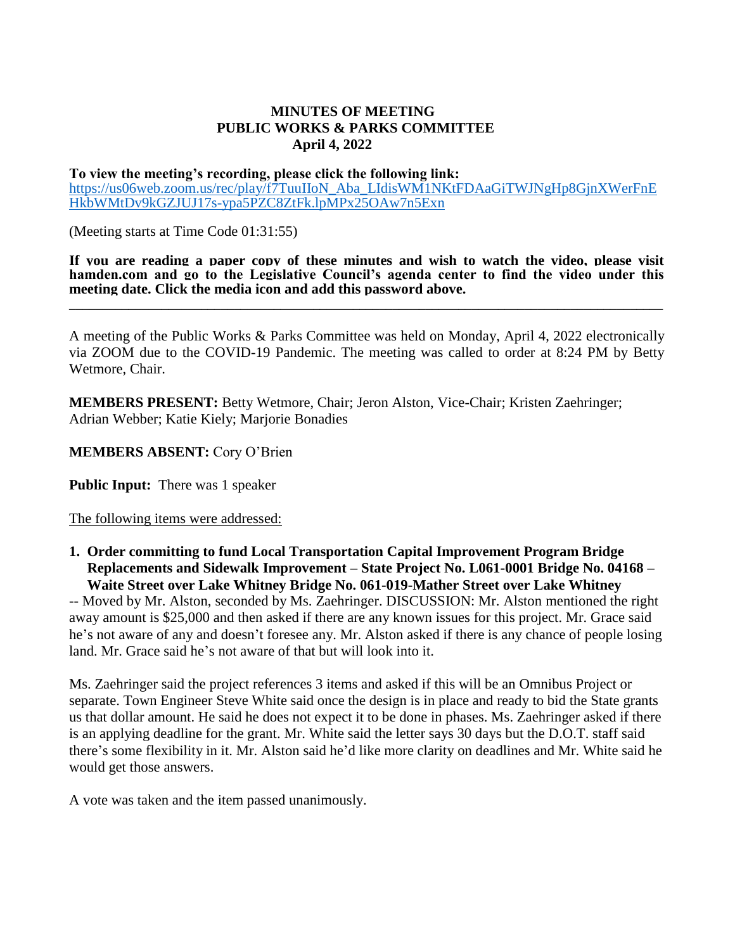## **MINUTES OF MEETING PUBLIC WORKS & PARKS COMMITTEE April 4, 2022**

## **To view the meeting's recording, please click the following link:**  [https://us06web.zoom.us/rec/play/f7TuuIIoN\\_Aba\\_LIdisWM1NKtFDAaGiTWJNgHp8GjnXWerFnE](https://us06web.zoom.us/rec/play/f7TuuIIoN_Aba_LIdisWM1NKtFDAaGiTWJNgHp8GjnXWerFnEHkbWMtDv9kGZJUJ17s-ypa5PZC8ZtFk.lpMPx25OAw7n5Exn) [HkbWMtDv9kGZJUJ17s-ypa5PZC8ZtFk.lpMPx25OAw7n5Exn](https://us06web.zoom.us/rec/play/f7TuuIIoN_Aba_LIdisWM1NKtFDAaGiTWJNgHp8GjnXWerFnEHkbWMtDv9kGZJUJ17s-ypa5PZC8ZtFk.lpMPx25OAw7n5Exn)

(Meeting starts at Time Code 01:31:55)

**If you are reading a paper copy of these minutes and wish to watch the video, please visit hamden.com and go to the Legislative Council's agenda center to find the video under this meeting date. Click the media icon and add this password above.**

**\_\_\_\_\_\_\_\_\_\_\_\_\_\_\_\_\_\_\_\_\_\_\_\_\_\_\_\_\_\_\_\_\_\_\_\_\_\_\_\_\_\_\_\_\_\_\_\_\_\_\_\_\_\_\_\_\_\_\_\_\_\_\_\_\_\_\_\_\_\_\_\_\_\_\_\_\_\_\_\_\_\_\_\_\_\_\_\_\_\_**

A meeting of the Public Works & Parks Committee was held on Monday, April 4, 2022 electronically via ZOOM due to the COVID-19 Pandemic. The meeting was called to order at 8:24 PM by Betty Wetmore, Chair.

**MEMBERS PRESENT:** Betty Wetmore, Chair; Jeron Alston, Vice-Chair; Kristen Zaehringer; Adrian Webber; Katie Kiely; Marjorie Bonadies

**MEMBERS ABSENT:** Cory O'Brien

**Public Input:** There was 1 speaker

The following items were addressed:

**1. Order committing to fund Local Transportation Capital Improvement Program Bridge Replacements and Sidewalk Improvement – State Project No. L061-0001 Bridge No. 04168 – Waite Street over Lake Whitney Bridge No. 061-019-Mather Street over Lake Whitney**

-- Moved by Mr. Alston, seconded by Ms. Zaehringer. DISCUSSION: Mr. Alston mentioned the right away amount is \$25,000 and then asked if there are any known issues for this project. Mr. Grace said he's not aware of any and doesn't foresee any. Mr. Alston asked if there is any chance of people losing land. Mr. Grace said he's not aware of that but will look into it.

Ms. Zaehringer said the project references 3 items and asked if this will be an Omnibus Project or separate. Town Engineer Steve White said once the design is in place and ready to bid the State grants us that dollar amount. He said he does not expect it to be done in phases. Ms. Zaehringer asked if there is an applying deadline for the grant. Mr. White said the letter says 30 days but the D.O.T. staff said there's some flexibility in it. Mr. Alston said he'd like more clarity on deadlines and Mr. White said he would get those answers.

A vote was taken and the item passed unanimously.